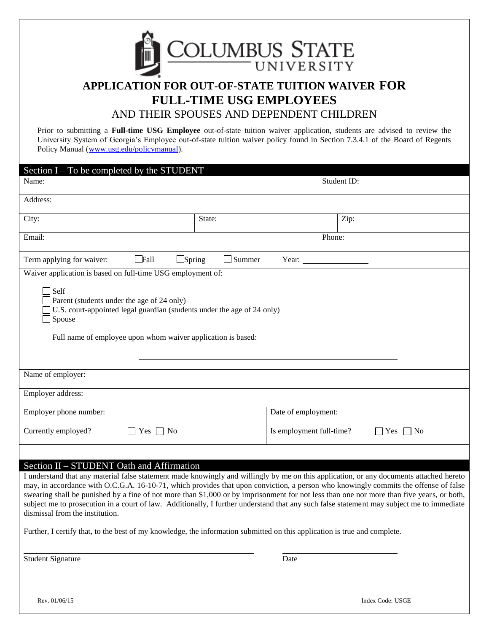

# **APPLICATION FOR OUT-OF-STATE TUITION WAIVER FOR FULL-TIME USG EMPLOYEES** AND THEIR SPOUSES AND DEPENDENT CHILDREN

Prior to submitting a **Full-time USG Employee** out-of-state tuition waiver application, students are advised to review the University System of Georgia's Employee out-of-state tuition waiver policy found in Section 7.3.4.1 of the Board of Regents Policy Manual [\(www.usg.edu/policymanual\)](http://www.usg.edu/policymanual).

| Section I – To be completed by the STUDENT                                                                                                                                                                     |               |                                              |        |  |  |
|----------------------------------------------------------------------------------------------------------------------------------------------------------------------------------------------------------------|---------------|----------------------------------------------|--------|--|--|
| Name:                                                                                                                                                                                                          | Student ID:   |                                              |        |  |  |
| Address:                                                                                                                                                                                                       |               |                                              |        |  |  |
| City:                                                                                                                                                                                                          | State:        |                                              | Zip:   |  |  |
| Email:                                                                                                                                                                                                         |               |                                              | Phone: |  |  |
| $\Box$ Fall<br>$\Box$ Spring<br>Term applying for waiver:                                                                                                                                                      | $\Box$ Summer | Year:                                        |        |  |  |
| Waiver application is based on full-time USG employment of:                                                                                                                                                    |               |                                              |        |  |  |
| $\Box$ Self<br>Parent (students under the age of 24 only)<br>U.S. court-appointed legal guardian (students under the age of 24 only)<br>Spouse<br>Full name of employee upon whom waiver application is based: |               |                                              |        |  |  |
| Name of employer:                                                                                                                                                                                              |               |                                              |        |  |  |
| Employer address:                                                                                                                                                                                              |               |                                              |        |  |  |
| Employer phone number:                                                                                                                                                                                         |               | Date of employment:                          |        |  |  |
| Currently employed?<br>Yes $\Box$ No                                                                                                                                                                           |               | Is employment full-time?<br>$\neg$ No<br>Yes |        |  |  |
| $\sim$ 0.00                                                                                                                                                                                                    |               |                                              |        |  |  |

# Section II – STUDENT Oath and Affirmation

I understand that any material false statement made knowingly and willingly by me on this application, or any documents attached hereto may, in accordance with O.C.G.A. 16-10-71, which provides that upon conviction, a person who knowingly commits the offense of false swearing shall be punished by a fine of not more than \$1,000 or by imprisonment for not less than one nor more than five years, or both, subject me to prosecution in a court of law. Additionally, I further understand that any such false statement may subject me to immediate dismissal from the institution.

Further, I certify that, to the best of my knowledge, the information submitted on this application is true and complete.

Student Signature Date

Rev. 01/06/15 Index Code: USGE